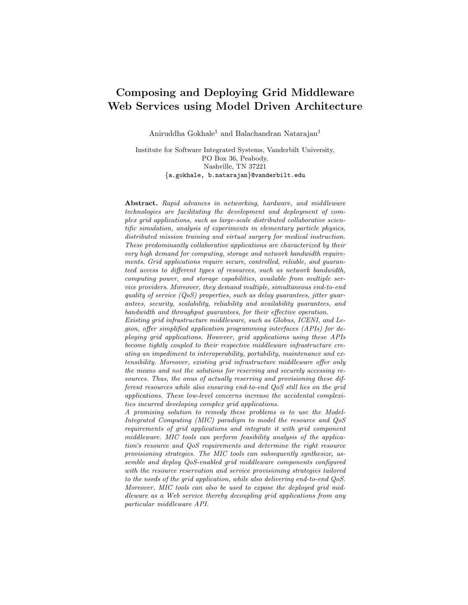# Composing and Deploying Grid Middleware Web Services using Model Driven Architecture

Aniruddha Gokhale<sup>1</sup> and Balachandran Natarajan<sup>1</sup>

Institute for Software Integrated Systems, Vanderbilt University, PO Box 36, Peabody, Nashville, TN 37221 {a.gokhale, b.natarajan}@vanderbilt.edu

Abstract. Rapid advances in networking, hardware, and middleware technologies are facilitating the development and deployment of complex grid applications, such as large-scale distributed collaborative scientific simulation, analysis of experiments in elementary particle physics, distributed mission training and virtual surgery for medical instruction. These predominantly collaborative applications are characterized by their very high demand for computing, storage and network bandwidth requirements. Grid applications require secure, controlled, reliable, and guaranteed access to different types of resources, such as network bandwidth, computing power, and storage capabilities, available from multiple service providers. Moreover, they demand multiple, simultaneous end-to-end quality of service  $(QoS)$  properties, such as delay guarantees, jitter guarantees, security, scalability, reliability and availability guarantees, and bandwidth and throughput guarantees, for their effective operation.

Existing grid infrastructure middleware, such as Globus, ICENI, and Legion, offer simplified application programming interfaces (APIs) for deploying grid applications. However, grid applications using these APIs become tightly coupled to their respective middleware infrastructure creating an impediment to interoperability, portability, maintenance and extensibility. Moreover, existing grid infrastructure middleware offer only the means and not the solutions for reserving and securely accessing resources. Thus, the onus of actually reserving and provisioning these different resources while also ensuring end-to-end QoS still lies on the grid applications. These low-level concerns increase the accidental complexities incurred developing complex grid applications.

A promising solution to remedy these problems is to use the Model-Integrated Computing (MIC) paradigm to model the resource and QoS requirements of grid applications and integrate it with grid component middleware. MIC tools can perform feasibility analysis of the application's resource and QoS requirements and determine the right resource provisioning strategies. The MIC tools can subsequently synthesize, assemble and deploy QoS-enabled grid middleware components configured with the resource reservation and service provisioning strategies tailored to the needs of the grid application, while also delivering end-to-end QoS. Moreover, MIC tools can also be used to expose the deployed grid middleware as a Web service thereby decoupling grid applications from any particular middleware API.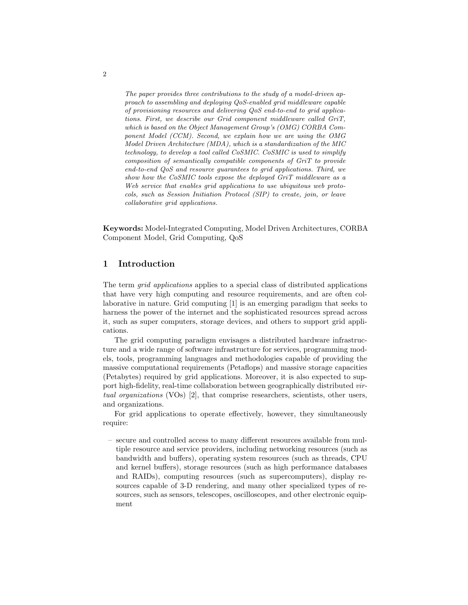The paper provides three contributions to the study of a model-driven approach to assembling and deploying QoS-enabled grid middleware capable of provisioning resources and delivering QoS end-to-end to grid applications. First, we describe our Grid component middleware called GriT, which is based on the Object Management Group's (OMG) CORBA Component Model (CCM). Second, we explain how we are using the OMG Model Driven Architecture (MDA), which is a standardization of the MIC technology, to develop a tool called CoSMIC. CoSMIC is used to simplify composition of semantically compatible components of GriT to provide end-to-end QoS and resource guarantees to grid applications. Third, we show how the CoSMIC tools expose the deployed GriT middleware as a Web service that enables grid applications to use ubiquitous web protocols, such as Session Initiation Protocol (SIP) to create, join, or leave collaborative grid applications.

Keywords: Model-Integrated Computing, Model Driven Architectures, CORBA Component Model, Grid Computing, QoS

## 1 Introduction

The term *grid applications* applies to a special class of distributed applications that have very high computing and resource requirements, and are often collaborative in nature. Grid computing [1] is an emerging paradigm that seeks to harness the power of the internet and the sophisticated resources spread across it, such as super computers, storage devices, and others to support grid applications.

The grid computing paradigm envisages a distributed hardware infrastructure and a wide range of software infrastructure for services, programming models, tools, programming languages and methodologies capable of providing the massive computational requirements (Petaflops) and massive storage capacities (Petabytes) required by grid applications. Moreover, it is also expected to support high-fidelity, real-time collaboration between geographically distributed *vir*tual organizations (VOs) [2], that comprise researchers, scientists, other users, and organizations.

For grid applications to operate effectively, however, they simultaneously require:

– secure and controlled access to many different resources available from multiple resource and service providers, including networking resources (such as bandwidth and buffers), operating system resources (such as threads, CPU and kernel buffers), storage resources (such as high performance databases and RAIDs), computing resources (such as supercomputers), display resources capable of 3-D rendering, and many other specialized types of resources, such as sensors, telescopes, oscilloscopes, and other electronic equipment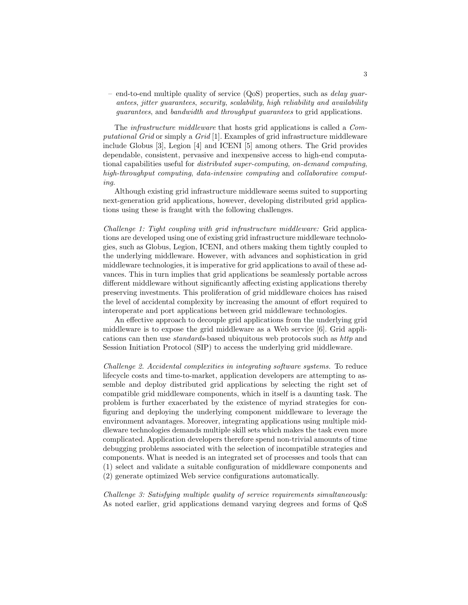– end-to-end multiple quality of service  $(QoS)$  properties, such as *delay quar*antees, jitter guarantees, security, scalability, high reliability and availability guarantees, and bandwidth and throughput guarantees to grid applications.

The infrastructure middleware that hosts grid applications is called a Computational Grid or simply a Grid [1]. Examples of grid infrastructure middleware include Globus [3], Legion [4] and ICENI [5] among others. The Grid provides dependable, consistent, pervasive and inexpensive access to high-end computational capabilities useful for distributed super-computing, on-demand computing, high-throughput computing, data-intensive computing and collaborative computing.

Although existing grid infrastructure middleware seems suited to supporting next-generation grid applications, however, developing distributed grid applications using these is fraught with the following challenges.

Challenge 1: Tight coupling with grid infrastructure middleware: Grid applications are developed using one of existing grid infrastructure middleware technologies, such as Globus, Legion, ICENI, and others making them tightly coupled to the underlying middleware. However, with advances and sophistication in grid middleware technologies, it is imperative for grid applications to avail of these advances. This in turn implies that grid applications be seamlessly portable across different middleware without significantly affecting existing applications thereby preserving investments. This proliferation of grid middleware choices has raised the level of accidental complexity by increasing the amount of effort required to interoperate and port applications between grid middleware technologies.

An effective approach to decouple grid applications from the underlying grid middleware is to expose the grid middleware as a Web service [6]. Grid applications can then use standards-based ubiquitous web protocols such as http and Session Initiation Protocol (SIP) to access the underlying grid middleware.

Challenge 2. Accidental complexities in integrating software systems. To reduce lifecycle costs and time-to-market, application developers are attempting to assemble and deploy distributed grid applications by selecting the right set of compatible grid middleware components, which in itself is a daunting task. The problem is further exacerbated by the existence of myriad strategies for configuring and deploying the underlying component middleware to leverage the environment advantages. Moreover, integrating applications using multiple middleware technologies demands multiple skill sets which makes the task even more complicated. Application developers therefore spend non-trivial amounts of time debugging problems associated with the selection of incompatible strategies and components. What is needed is an integrated set of processes and tools that can (1) select and validate a suitable configuration of middleware components and (2) generate optimized Web service configurations automatically.

Challenge 3: Satisfying multiple quality of service requirements simultaneously: As noted earlier, grid applications demand varying degrees and forms of QoS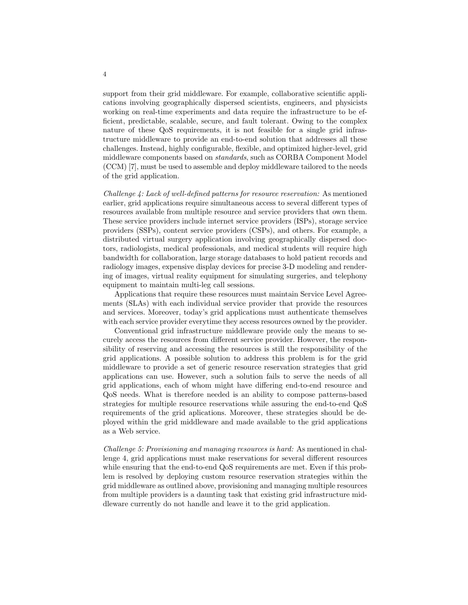support from their grid middleware. For example, collaborative scientific applications involving geographically dispersed scientists, engineers, and physicists working on real-time experiments and data require the infrastructure to be efficient, predictable, scalable, secure, and fault tolerant. Owing to the complex nature of these QoS requirements, it is not feasible for a single grid infrastructure middleware to provide an end-to-end solution that addresses all these challenges. Instead, highly configurable, flexible, and optimized higher-level, grid middleware components based on standards, such as CORBA Component Model (CCM) [7], must be used to assemble and deploy middleware tailored to the needs of the grid application.

Challenge 4: Lack of well-defined patterns for resource reservation: As mentioned earlier, grid applications require simultaneous access to several different types of resources available from multiple resource and service providers that own them. These service providers include internet service providers (ISPs), storage service providers (SSPs), content service providers (CSPs), and others. For example, a distributed virtual surgery application involving geographically dispersed doctors, radiologists, medical professionals, and medical students will require high bandwidth for collaboration, large storage databases to hold patient records and radiology images, expensive display devices for precise 3-D modeling and rendering of images, virtual reality equipment for simulating surgeries, and telephony equipment to maintain multi-leg call sessions.

Applications that require these resources must maintain Service Level Agreements (SLAs) with each individual service provider that provide the resources and services. Moreover, today's grid applications must authenticate themselves with each service provider everytime they access resources owned by the provider.

Conventional grid infrastructure middleware provide only the means to securely access the resources from different service provider. However, the responsibility of reserving and accessing the resources is still the responsibility of the grid applications. A possible solution to address this problem is for the grid middleware to provide a set of generic resource reservation strategies that grid applications can use. However, such a solution fails to serve the needs of all grid applications, each of whom might have differing end-to-end resource and QoS needs. What is therefore needed is an ability to compose patterns-based strategies for multiple resource reservations while assuring the end-to-end QoS requirements of the grid aplications. Moreover, these strategies should be deployed within the grid middleware and made available to the grid applications as a Web service.

Challenge 5: Provisioning and managing resources is hard: As mentioned in challenge 4, grid applications must make reservations for several different resources while ensuring that the end-to-end QoS requirements are met. Even if this problem is resolved by deploying custom resource reservation strategies within the grid middleware as outlined above, provisioning and managing multiple resources from multiple providers is a daunting task that existing grid infrastructure middleware currently do not handle and leave it to the grid application.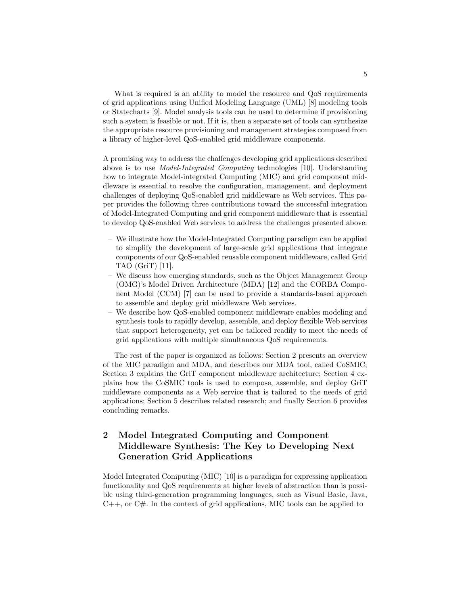What is required is an ability to model the resource and QoS requirements of grid applications using Unified Modeling Language (UML) [8] modeling tools or Statecharts [9]. Model analysis tools can be used to determine if provisioning such a system is feasible or not. If it is, then a separate set of tools can synthesize the appropriate resource provisioning and management strategies composed from a library of higher-level QoS-enabled grid middleware components.

A promising way to address the challenges developing grid applications described above is to use Model-Integrated Computing technologies [10]. Understanding how to integrate Model-integrated Computing (MIC) and grid component middleware is essential to resolve the configuration, management, and deployment challenges of deploying QoS-enabled grid middleware as Web services. This paper provides the following three contributions toward the successful integration of Model-Integrated Computing and grid component middleware that is essential to develop QoS-enabled Web services to address the challenges presented above:

- We illustrate how the Model-Integrated Computing paradigm can be applied to simplify the development of large-scale grid applications that integrate components of our QoS-enabled reusable component middleware, called Grid TAO (GriT) [11].
- We discuss how emerging standards, such as the Object Management Group (OMG)'s Model Driven Architecture (MDA) [12] and the CORBA Component Model (CCM) [7] can be used to provide a standards-based approach to assemble and deploy grid middleware Web services.
- We describe how QoS-enabled component middleware enables modeling and synthesis tools to rapidly develop, assemble, and deploy flexible Web services that support heterogeneity, yet can be tailored readily to meet the needs of grid applications with multiple simultaneous QoS requirements.

The rest of the paper is organized as follows: Section 2 presents an overview of the MIC paradigm and MDA, and describes our MDA tool, called CoSMIC; Section 3 explains the GriT component middleware architecture; Section 4 explains how the CoSMIC tools is used to compose, assemble, and deploy GriT middleware components as a Web service that is tailored to the needs of grid applications; Section 5 describes related research; and finally Section 6 provides concluding remarks.

# 2 Model Integrated Computing and Component Middleware Synthesis: The Key to Developing Next Generation Grid Applications

Model Integrated Computing (MIC) [10] is a paradigm for expressing application functionality and QoS requirements at higher levels of abstraction than is possible using third-generation programming languages, such as Visual Basic, Java,  $C++$ , or  $C\#$ . In the context of grid applications, MIC tools can be applied to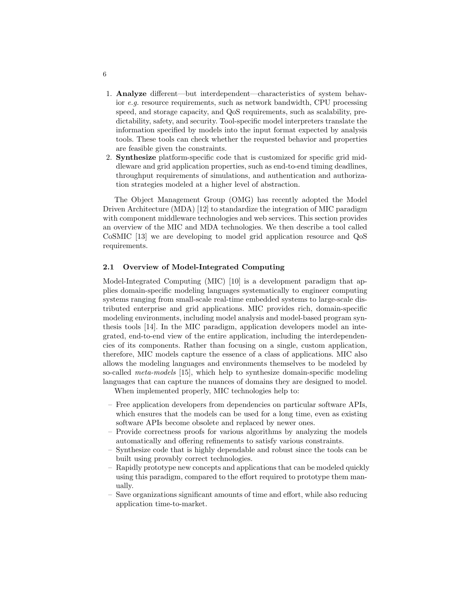- 1. Analyze different—but interdependent—characteristics of system behavior e.g. resource requirements, such as network bandwidth, CPU processing speed, and storage capacity, and QoS requirements, such as scalability, predictability, safety, and security. Tool-specific model interpreters translate the information specified by models into the input format expected by analysis tools. These tools can check whether the requested behavior and properties are feasible given the constraints.
- 2. Synthesize platform-specific code that is customized for specific grid middleware and grid application properties, such as end-to-end timing deadlines, throughput requirements of simulations, and authentication and authorization strategies modeled at a higher level of abstraction.

The Object Management Group (OMG) has recently adopted the Model Driven Architecture (MDA) [12] to standardize the integration of MIC paradigm with component middleware technologies and web services. This section provides an overview of the MIC and MDA technologies. We then describe a tool called CoSMIC [13] we are developing to model grid application resource and QoS requirements.

### 2.1 Overview of Model-Integrated Computing

Model-Integrated Computing (MIC) [10] is a development paradigm that applies domain-specific modeling languages systematically to engineer computing systems ranging from small-scale real-time embedded systems to large-scale distributed enterprise and grid applications. MIC provides rich, domain-specific modeling environments, including model analysis and model-based program synthesis tools [14]. In the MIC paradigm, application developers model an integrated, end-to-end view of the entire application, including the interdependencies of its components. Rather than focusing on a single, custom application, therefore, MIC models capture the essence of a class of applications. MIC also allows the modeling languages and environments themselves to be modeled by so-called meta-models [15], which help to synthesize domain-specific modeling languages that can capture the nuances of domains they are designed to model.

When implemented properly, MIC technologies help to:

- Free application developers from dependencies on particular software APIs, which ensures that the models can be used for a long time, even as existing software APIs become obsolete and replaced by newer ones.
- Provide correctness proofs for various algorithms by analyzing the models automatically and offering refinements to satisfy various constraints.
- Synthesize code that is highly dependable and robust since the tools can be built using provably correct technologies.
- Rapidly prototype new concepts and applications that can be modeled quickly using this paradigm, compared to the effort required to prototype them manually.
- Save organizations significant amounts of time and effort, while also reducing application time-to-market.

6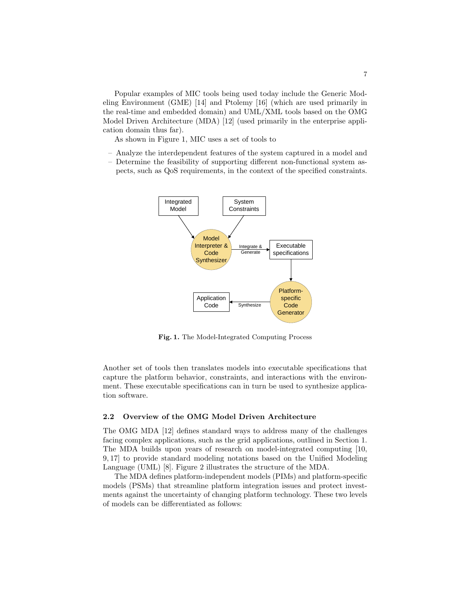Popular examples of MIC tools being used today include the Generic Modeling Environment (GME) [14] and Ptolemy [16] (which are used primarily in the real-time and embedded domain) and UML/XML tools based on the OMG Model Driven Architecture (MDA) [12] (used primarily in the enterprise application domain thus far).

As shown in Figure 1, MIC uses a set of tools to

- Analyze the interdependent features of the system captured in a model and
- Determine the feasibility of supporting different non-functional system aspects, such as QoS requirements, in the context of the specified constraints.



Fig. 1. The Model-Integrated Computing Process

Another set of tools then translates models into executable specifications that capture the platform behavior, constraints, and interactions with the environment. These executable specifications can in turn be used to synthesize application software.

#### 2.2 Overview of the OMG Model Driven Architecture

The OMG MDA [12] defines standard ways to address many of the challenges facing complex applications, such as the grid applications, outlined in Section 1. The MDA builds upon years of research on model-integrated computing [10, 9, 17] to provide standard modeling notations based on the Unified Modeling Language (UML) [8]. Figure 2 illustrates the structure of the MDA.

The MDA defines platform-independent models (PIMs) and platform-specific models (PSMs) that streamline platform integration issues and protect investments against the uncertainty of changing platform technology. These two levels of models can be differentiated as follows: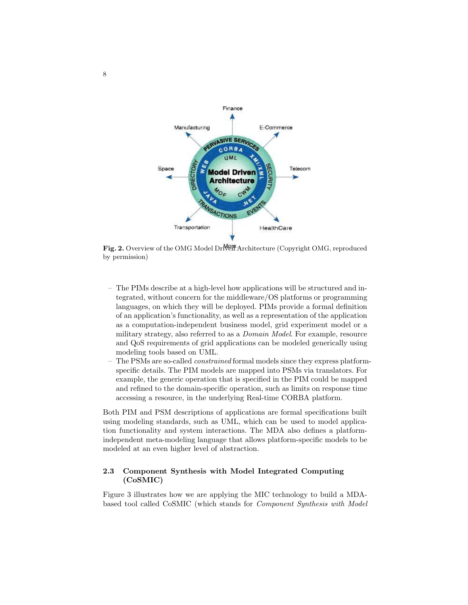

Fig. 2. Overview of the OMG Model Driven Architecture (Copyright OMG, reproduced by permission)

- The PIMs describe at a high-level how applications will be structured and integrated, without concern for the middleware/OS platforms or programming languages, on which they will be deployed. PIMs provide a formal definition of an application's functionality, as well as a representation of the application as a computation-independent business model, grid experiment model or a military strategy, also referred to as a Domain Model. For example, resource and QoS requirements of grid applications can be modeled generically using modeling tools based on UML.
- The PSMs are so-called constrained formal models since they express platformspecific details. The PIM models are mapped into PSMs via translators. For example, the generic operation that is specified in the PIM could be mapped and refined to the domain-specific operation, such as limits on response time accessing a resource, in the underlying Real-time CORBA platform.

Both PIM and PSM descriptions of applications are formal specifications built using modeling standards, such as UML, which can be used to model application functionality and system interactions. The MDA also defines a platformindependent meta-modeling language that allows platform-specific models to be modeled at an even higher level of abstraction.

### 2.3 Component Synthesis with Model Integrated Computing (CoSMIC)

Figure 3 illustrates how we are applying the MIC technology to build a MDAbased tool called CoSMIC (which stands for Component Synthesis with Model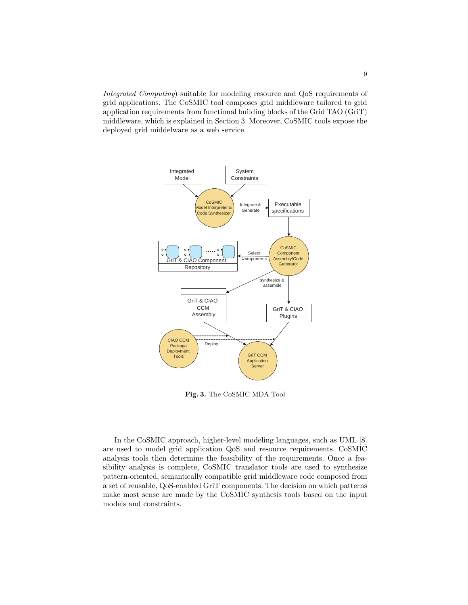Integrated Computing) suitable for modeling resource and QoS requirements of grid applications. The CoSMIC tool composes grid middleware tailored to grid application requirements from functional building blocks of the Grid TAO (GriT) middleware, which is explained in Section 3. Moreover, CoSMIC tools expose the deployed grid middelware as a web service.



Fig. 3. The CoSMIC MDA Tool

In the CoSMIC approach, higher-level modeling languages, such as UML [8] are used to model grid application QoS and resource requirements. CoSMIC analysis tools then determine the feasibility of the requirements. Once a feasibility analysis is complete, CoSMIC translator tools are used to synthesize pattern-oriented, semantically compatible grid middleware code composed from a set of reusable, QoS-enabled GriT components. The decision on which patterns make most sense are made by the CoSMIC synthesis tools based on the input models and constraints.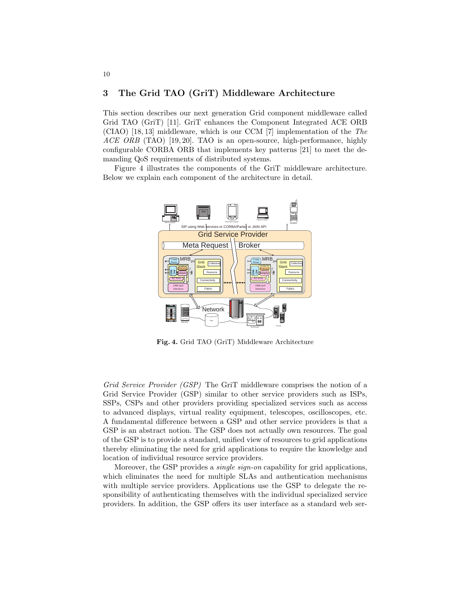### 3 The Grid TAO (GriT) Middleware Architecture

This section describes our next generation Grid component middleware called Grid TAO (GriT) [11]. GriT enhances the Component Integrated ACE ORB (CIAO) [18, 13] middleware, which is our CCM [7] implementation of the The  $ACE \ ORB$  (TAO) [19, 20]. TAO is an open-source, high-performance, highly configurable CORBA ORB that implements key patterns [21] to meet the demanding QoS requirements of distributed systems.

Figure 4 illustrates the components of the GriT middleware architecture. Below we explain each component of the architecture in detail.



Fig. 4. Grid TAO (GriT) Middleware Architecture

Grid Service Provider (GSP) The GriT middleware comprises the notion of a Grid Service Provider (GSP) similar to other service providers such as ISPs, SSPs, CSPs and other providers providing specialized services such as access to advanced displays, virtual reality equipment, telescopes, oscilloscopes, etc. A fundamental difference between a GSP and other service providers is that a GSP is an abstract notion. The GSP does not actually own resources. The goal of the GSP is to provide a standard, unified view of resources to grid applications thereby eliminating the need for grid applications to require the knowledge and location of individual resource service providers.

Moreover, the GSP provides a *single sign-on* capability for grid applications, which eliminates the need for multiple SLAs and authentication mechanisms with multiple service providers. Applications use the GSP to delegate the responsibility of authenticating themselves with the individual specialized service providers. In addition, the GSP offers its user interface as a standard web ser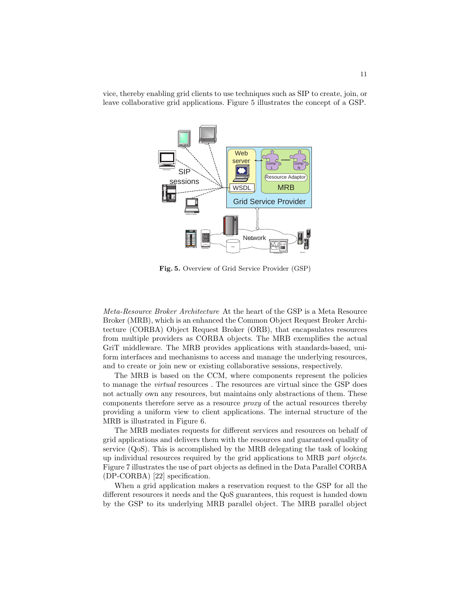vice, thereby enabling grid clients to use techniques such as SIP to create, join, or leave collaborative grid applications. Figure 5 illustrates the concept of a GSP.



Fig. 5. Overview of Grid Service Provider (GSP)

Meta-Resource Broker Architecture At the heart of the GSP is a Meta Resource Broker (MRB), which is an enhanced the Common Object Request Broker Architecture (CORBA) Object Request Broker (ORB), that encapsulates resources from multiple providers as CORBA objects. The MRB exemplifies the actual GriT middleware. The MRB provides applications with standards-based, uniform interfaces and mechanisms to access and manage the underlying resources, and to create or join new or existing collaborative sessions, respectively.

The MRB is based on the CCM, where components represent the policies to manage the *virtual* resources. The resources are virtual since the GSP does not actually own any resources, but maintains only abstractions of them. These components therefore serve as a resource proxy of the actual resources thereby providing a uniform view to client applications. The internal structure of the MRB is illustrated in Figure 6.

The MRB mediates requests for different services and resources on behalf of grid applications and delivers them with the resources and guaranteed quality of service (QoS). This is accomplished by the MRB delegating the task of looking up individual resources required by the grid applications to MRB part objects. Figure 7 illustrates the use of part objects as defined in the Data Parallel CORBA (DP-CORBA) [22] specification.

When a grid application makes a reservation request to the GSP for all the different resources it needs and the QoS guarantees, this request is handed down by the GSP to its underlying MRB parallel object. The MRB parallel object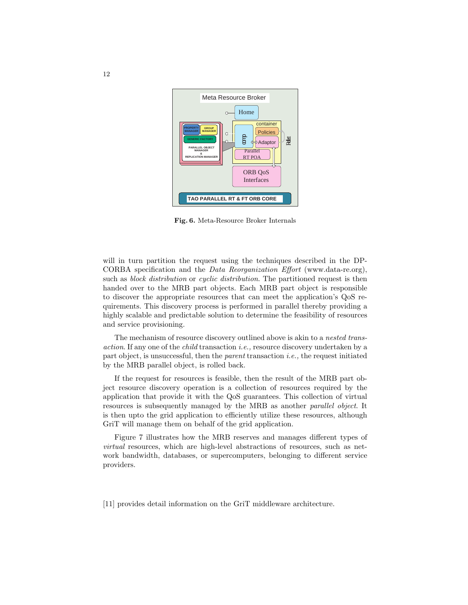

Fig. 6. Meta-Resource Broker Internals

will in turn partition the request using the techniques described in the DP-CORBA specification and the Data Reorganization Effort (www.data-re.org), such as *block distribution* or *cyclic distribution*. The partitioned request is then handed over to the MRB part objects. Each MRB part object is responsible to discover the appropriate resources that can meet the application's QoS requirements. This discovery process is performed in parallel thereby providing a highly scalable and predictable solution to determine the feasibility of resources and service provisioning.

The mechanism of resource discovery outlined above is akin to a nested transaction. If any one of the child transaction i.e., resource discovery undertaken by a part object, is unsuccessful, then the parent transaction i.e., the request initiated by the MRB parallel object, is rolled back.

If the request for resources is feasible, then the result of the MRB part object resource discovery operation is a collection of resources required by the application that provide it with the QoS guarantees. This collection of virtual resources is subsequently managed by the MRB as another parallel object. It is then upto the grid application to efficiently utilize these resources, although GriT will manage them on behalf of the grid application.

Figure 7 illustrates how the MRB reserves and manages different types of virtual resources, which are high-level abstractions of resources, such as network bandwidth, databases, or supercomputers, belonging to different service providers.

[11] provides detail information on the GriT middleware architecture.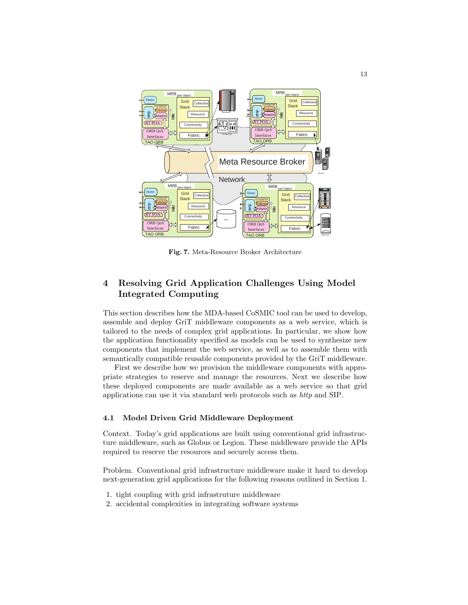

Fig. 7. Meta-Resource Broker Architecture

# 4 Resolving Grid Application Challenges Using Model Integrated Computing

This section describes how the MDA-based CoSMIC tool can be used to develop, assemble and deploy GriT middleware components as a web service, which is tailored to the needs of complex grid applications. In particular, we show how the application functionality specified as models can be used to synthesize new components that implement the web service, as well as to assemble them with semantically compatible reusable components provided by the GriT middleware.

First we describe how we provision the middleware components with appropriate strategies to reserve and manage the resources. Next we describe how these deployed components are made available as a web service so that grid applications can use it via standard web protocols such as http and SIP.

### 4.1 Model Driven Grid Middleware Deployment

Context. Today's grid applications are built using conventional grid infrastructure middleware, such as Globus or Legion. These middleware provide the APIs required to reserve the resources and securely access them.

Problem. Conventional grid infrastructure middleware make it hard to develop next-generation grid applications for the following reasons outlined in Section 1.

- 1. tight coupling with grid infrastruture middleware
- 2. accidental complexities in integrating software systems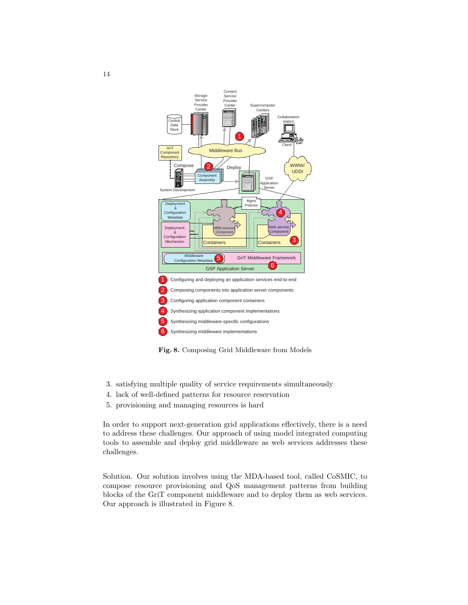

Fig. 8. Composing Grid Middleware from Models

- 3. satisfying multiple quality of service requirements simultaneously
- 4. lack of well-defined patterns for resource reservation
- 5. provisioning and managing resources is hard

In order to support next-generation grid applications effectively, there is a need to address these challenges. Our approach of using model integrated computing tools to assemble and deploy grid middleware as web services addresses these challenges.

Solution. Our solution involves using the MDA-based tool, called CoSMIC, to compose resource provisioning and QoS management patterns from building blocks of the GriT component middleware and to deploy them as web services. Our approach is illustrated in Figure 8.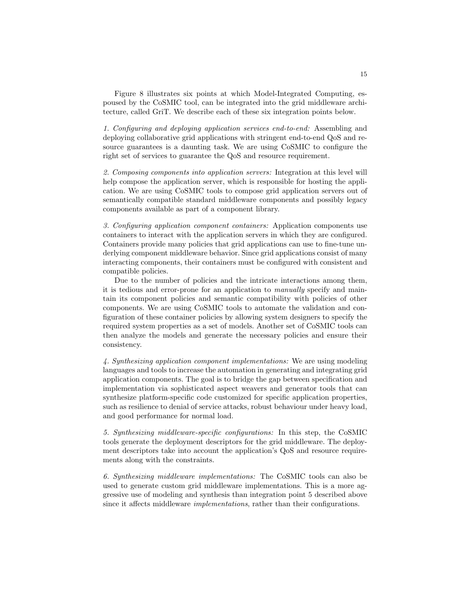Figure 8 illustrates six points at which Model-Integrated Computing, espoused by the CoSMIC tool, can be integrated into the grid middleware architecture, called GriT. We describe each of these six integration points below.

1. Configuring and deploying application services end-to-end: Assembling and deploying collaborative grid applications with stringent end-to-end QoS and resource guarantees is a daunting task. We are using CoSMIC to configure the right set of services to guarantee the QoS and resource requirement.

2. Composing components into application servers: Integration at this level will help compose the application server, which is responsible for hosting the application. We are using CoSMIC tools to compose grid application servers out of semantically compatible standard middleware components and possibly legacy components available as part of a component library.

3. Configuring application component containers: Application components use containers to interact with the application servers in which they are configured. Containers provide many policies that grid applications can use to fine-tune underlying component middleware behavior. Since grid applications consist of many interacting components, their containers must be configured with consistent and compatible policies.

Due to the number of policies and the intricate interactions among them, it is tedious and error-prone for an application to manually specify and maintain its component policies and semantic compatibility with policies of other components. We are using CoSMIC tools to automate the validation and configuration of these container policies by allowing system designers to specify the required system properties as a set of models. Another set of CoSMIC tools can then analyze the models and generate the necessary policies and ensure their consistency.

4. Synthesizing application component implementations: We are using modeling languages and tools to increase the automation in generating and integrating grid application components. The goal is to bridge the gap between specification and implementation via sophisticated aspect weavers and generator tools that can synthesize platform-specific code customized for specific application properties, such as resilience to denial of service attacks, robust behaviour under heavy load, and good performance for normal load.

5. Synthesizing middleware-specific configurations: In this step, the CoSMIC tools generate the deployment descriptors for the grid middleware. The deployment descriptors take into account the application's QoS and resource requirements along with the constraints.

6. Synthesizing middleware implementations: The CoSMIC tools can also be used to generate custom grid middleware implementations. This is a more aggressive use of modeling and synthesis than integration point 5 described above since it affects middleware implementations, rather than their configurations.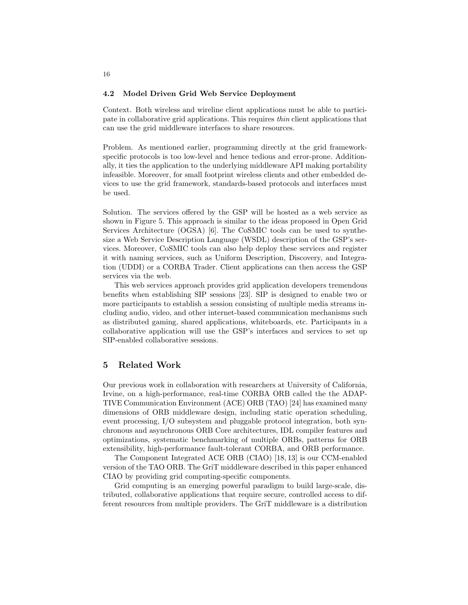### 4.2 Model Driven Grid Web Service Deployment

Context. Both wireless and wireline client applications must be able to participate in collaborative grid applications. This requires thin client applications that can use the grid middleware interfaces to share resources.

Problem. As mentioned earlier, programming directly at the grid frameworkspecific protocols is too low-level and hence tedious and error-prone. Additionally, it ties the application to the underlying middleware API making portability infeasible. Moreover, for small footprint wireless clients and other embedded devices to use the grid framework, standards-based protocols and interfaces must be used.

Solution. The services offered by the GSP will be hosted as a web service as shown in Figure 5. This approach is similar to the ideas proposed in Open Grid Services Architecture (OGSA) [6]. The CoSMIC tools can be used to synthesize a Web Service Description Language (WSDL) description of the GSP's services. Moreover, CoSMIC tools can also help deploy these services and register it with naming services, such as Uniform Description, Discovery, and Integration (UDDI) or a CORBA Trader. Client applications can then access the GSP services via the web.

This web services approach provides grid application developers tremendous benefits when establishing SIP sessions [23]. SIP is designed to enable two or more participants to establish a session consisting of multiple media streams including audio, video, and other internet-based communication mechanisms such as distributed gaming, shared applications, whiteboards, etc. Participants in a collaborative application will use the GSP's interfaces and services to set up SIP-enabled collaborative sessions.

### 5 Related Work

Our previous work in collaboration with researchers at University of California, Irvine, on a high-performance, real-time CORBA ORB called the the ADAP-TIVE Communication Environment (ACE) ORB (TAO) [24] has examined many dimensions of ORB middleware design, including static operation scheduling, event processing, I/O subsystem and pluggable protocol integration, both synchronous and asynchronous ORB Core architectures, IDL compiler features and optimizations, systematic benchmarking of multiple ORBs, patterns for ORB extensibility, high-performance fault-tolerant CORBA, and ORB performance.

The Component Integrated ACE ORB (CIAO) [18, 13] is our CCM-enabled version of the TAO ORB. The GriT middleware described in this paper enhanced CIAO by providing grid computing-specific components.

Grid computing is an emerging powerful paradigm to build large-scale, distributed, collaborative applications that require secure, controlled access to different resources from multiple providers. The GriT middleware is a distribution

16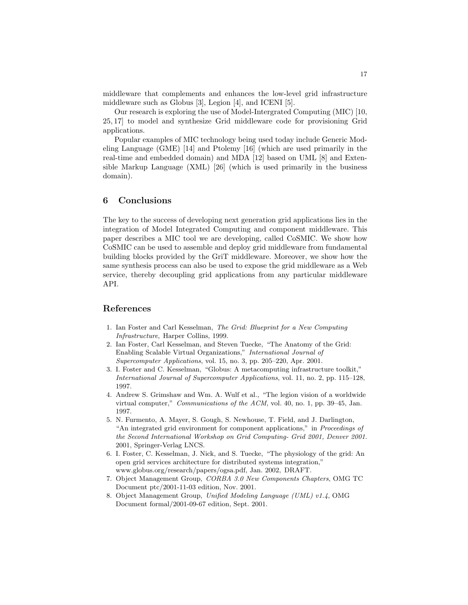middleware that complements and enhances the low-level grid infrastructure middleware such as Globus [3], Legion [4], and ICENI [5].

Our research is exploring the use of Model-Intergrated Computing (MIC) [10, 25, 17] to model and synthesize Grid middleware code for provisioning Grid applications.

Popular examples of MIC technology being used today include Generic Modeling Language (GME) [14] and Ptolemy [16] (which are used primarily in the real-time and embedded domain) and MDA [12] based on UML [8] and Extensible Markup Language (XML) [26] (which is used primarily in the business domain).

### 6 Conclusions

The key to the success of developing next generation grid applications lies in the integration of Model Integrated Computing and component middleware. This paper describes a MIC tool we are developing, called CoSMIC. We show how CoSMIC can be used to assemble and deploy grid middleware from fundamental building blocks provided by the GriT middleware. Moreover, we show how the same synthesis process can also be used to expose the grid middleware as a Web service, thereby decoupling grid applications from any particular middleware API.

### References

- 1. Ian Foster and Carl Kesselman, The Grid: Blueprint for a New Computing Infrastructure, Harper Collins, 1999.
- 2. Ian Foster, Carl Kesselman, and Steven Tuecke, "The Anatomy of the Grid: Enabling Scalable Virtual Organizations," International Journal of Supercomputer Applications, vol. 15, no. 3, pp. 205–220, Apr. 2001.
- 3. I. Foster and C. Kesselman, "Globus: A metacomputing infrastructure toolkit," International Journal of Supercomputer Applications, vol. 11, no. 2, pp. 115–128, 1997.
- 4. Andrew S. Grimshaw and Wm. A. Wulf et al., "The legion vision of a worldwide virtual computer," Communications of the ACM, vol. 40, no. 1, pp. 39–45, Jan. 1997.
- 5. N. Furmento, A. Mayer, S. Gough, S. Newhouse, T. Field, and J. Darlington, "An integrated grid environment for component applications," in Proceedings of the Second International Workshop on Grid Computing- Grid 2001, Denver 2001. 2001, Springer-Verlag LNCS.
- 6. I. Foster, C. Kesselman, J. Nick, and S. Tuecke, "The physiology of the grid: An open grid services architecture for distributed systems integration," www.globus.org/research/papers/ogsa.pdf, Jan. 2002, DRAFT.
- 7. Object Management Group, CORBA 3.0 New Components Chapters, OMG TC Document ptc/2001-11-03 edition, Nov. 2001.
- 8. Object Management Group, Unified Modeling Language (UML) v1.4, OMG Document formal/2001-09-67 edition, Sept. 2001.